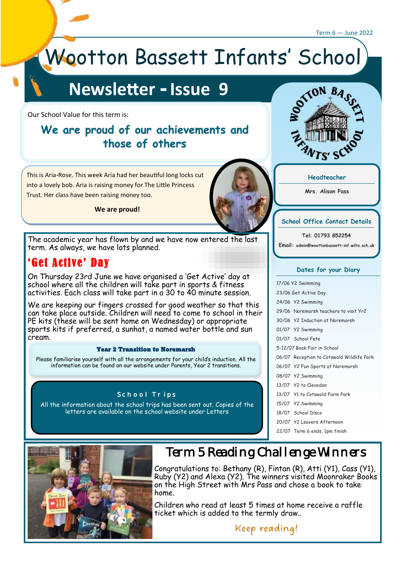#### Term 6 — June 2022

# Wootton Bassett Infants' School

# **Newsletter - Issue 9**

Our School Value for this term is:

### **We are proud of our achievements and those of others**



**We are proud!**

The academic year has flown by and we have now entered the last term. As always, we have lots planned.

### 'Get Active' Day

On Thursday 23rd June we have organised a 'Get Active' day at school where all the children will take part in sports & fitness activities. Each class will take part in a 30 to 40 minute session.

We are keeping our fingers crossed for good weather so that this can take place outside. Children will need to come to school in their PE kits (these will be sent home on Wednesday) or appropriate sports kits if preferred, a sunhat, a named water bottle and sun cream.

#### Year 2 Transition to Noremarsh

Please familiarise yourself with all the arrangements for your child's induction. All the information can be found on our website under Parents. Year 2 transitions.

#### School Trips

All the information about the school trips has been sent out. Copies of the letters are available on the school website under Letters





**Mrs. Alison Pass**

#### **School Office Contact Details**

**Tel: 01793 852254 Email: admin@woottonbassett-inf.wilts.sch.uk**

#### **Dates for your Diary**

| 17/06 Y2 Swimming           |                                           |
|-----------------------------|-------------------------------------------|
| 23/06 Get Active Day        |                                           |
|                             | 24/06 Y2 Swimming                         |
|                             | 29/06 Noremarsh teachers to visit Yr2     |
|                             | 30/06 Y2 Induction at Noremarsh           |
|                             | 01/07 Y2 Swimming                         |
|                             | 01/07 School Fete                         |
| 5-12/07 Book Fair in School |                                           |
|                             | 06/07 Reception to Cotswold Wildlife Park |
|                             | 06/07 Y2 Fun Sports at Noremarsh          |
|                             | 08/07 Y2 Swimming                         |
|                             | 13/07 Y2 to Clevedon                      |
|                             | 13/07 Y1 to Cotswold Farm Park            |
|                             | 15/07 Y2 Swimming                         |
|                             | 18/07 School Disco                        |
|                             | 20/07 Y2 Leavers Afternoon                |
|                             | 22/07 Term 6 ends, 1pm finish             |



## Term 5 Reading Challenge Winners

Congratulations to: Bethany (R), Fintan (R), Atti (Y1), Cass (Y1), Ruby (Y2) and Alexa (Y2). The winners visited Moonraker Books on the High Street with Mrs Pass and chose a book to take home.

Children who read at least 5 times at home receive a raffle ticket which is added to the termly draw..

Keep reading!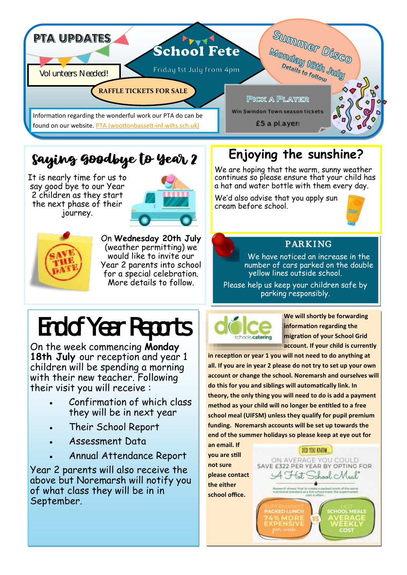

# Saying Goodbye to Year 2

It is nearly time for us to say good bye to our Year 2 children as they start the next phase of their journey.





On **Wednesday 20th July**  (weather permitting) we would like to invite our Year 2 parents into school for a special celebration. More details to follow.

# End of Year Reports

On the week commencing **Monday 18th July** our reception and year 1 children will be spending a morning with their new teacher. Following their visit you will receive :

- Confirmation of which class they will be in next year
- Their School Report
- Assessment Data
- Annual Attendance Report

Year 2 parents will also receive the above but Noremarsh will notify you of what class they will be in in September.

# **Enjoying the sunshine?**

We are hoping that the warm, sunny weather continues so please ensure that your child has a hat and water bottle with them every day.

We'd also advise that you apply sun cream before school.





### PARKING

We have noticed an increase in the number of cars parked on the double yellow lines outside school.

Please help us keep your children safe by parking responsibly.



**We will shortly be forwarding information regarding the migration of your School Grid account. If your child is currently** 

**in reception or year 1 you will not need to do anything at all. If you are in year 2 please do not try to set up your own account or change the school. Noremarsh and ourselves will do this for you and siblings will automatically link. In theory, the only thing you will need to do is add a payment method as your child will no longer be entitled to a free school meal (UIFSM) unless they qualify for pupil premium funding. Noremarsh accounts will be set up towards the end of the summer holidays so please keep at eye out for** 

> DID YOU KNOW ON AVERAGE YOU COULD SAVE £322 PER YEAR BY OPTING FOR A Hot School Meal"  $\bullet$

**an email. If you are still not sure please contact the either school office.**